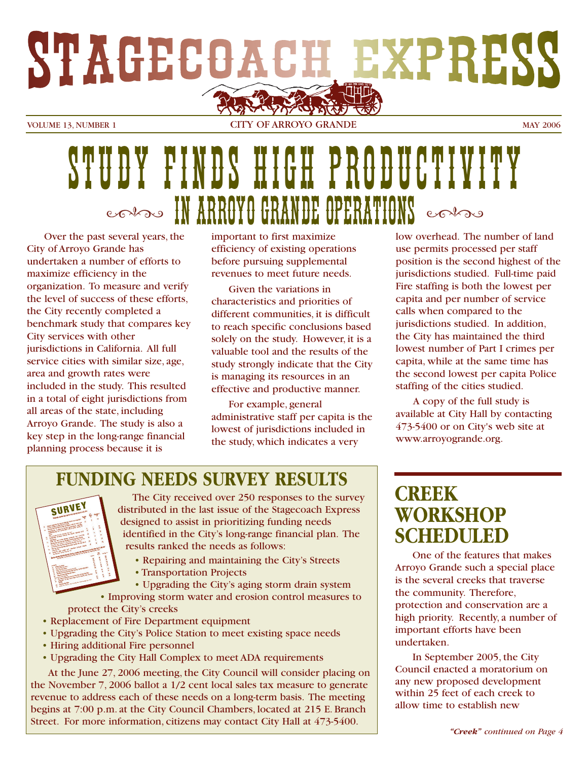

VOLUME 13, NUMBER 1 CITY OF ARROYO GRANDE MAY 2006

# STUDY FINDS HIGH PRODUCTIVITY **CONDO IN ARROYO GRANDE OPERATIONS** CONDO

Over the past several years, the City of Arroyo Grande has undertaken a number of efforts to maximize efficiency in the organization. To measure and verify the level of success of these efforts, the City recently completed a benchmark study that compares key City services with other jurisdictions in California. All full service cities with similar size, age, area and growth rates were included in the study. This resulted in a total of eight jurisdictions from all areas of the state, including Arroyo Grande. The study is also a key step in the long-range financial planning process because it is

important to first maximize efficiency of existing operations before pursuing supplemental revenues to meet future needs.

Given the variations in characteristics and priorities of different communities, it is difficult to reach specific conclusions based solely on the study. However, it is a valuable tool and the results of the study strongly indicate that the City is managing its resources in an effective and productive manner.

For example, general administrative staff per capita is the lowest of jurisdictions included in the study, which indicates a very

low overhead. The number of land use permits processed per staff position is the second highest of the jurisdictions studied. Full-time paid Fire staffing is both the lowest per capita and per number of service calls when compared to the jurisdictions studied. In addition, the City has maintained the third lowest number of Part I crimes per capita, while at the same time has the second lowest per capita Police staffing of the cities studied.

A copy of the full study is available at City Hall by contacting 473-5400 or on City's web site at www.arroyogrande.org.

## **FUNDING NEEDS SURVEY RESULTS**



The City received over 250 responses to the survey distributed in the last issue of the Stagecoach Express designed to assist in prioritizing funding needs identified in the City's long-range financial plan. The results ranked the needs as follows:

- Repairing and maintaining the City's Streets
- Transportation Projects
- Upgrading the City's aging storm drain system

• Improving storm water and erosion control measures to protect the City's creeks

- Replacement of Fire Department equipment
- Upgrading the City's Police Station to meet existing space needs
- Hiring additional Fire personnel
- Upgrading the City Hall Complex to meet ADA requirements

At the June 27, 2006 meeting, the City Council will consider placing on the November 7, 2006 ballot a 1/2 cent local sales tax measure to generate revenue to address each of these needs on a long-term basis. The meeting begins at 7:00 p.m. at the City Council Chambers, located at 215 E. Branch Street. For more information, citizens may contact City Hall at 473-5400.

## **CREEK WORKSHOP SCHEDULED**

One of the features that makes Arroyo Grande such a special place is the several creeks that traverse the community. Therefore, protection and conservation are a high priority. Recently, a number of important efforts have been undertaken.

In September 2005, the City Council enacted a moratorium on any new proposed development within 25 feet of each creek to allow time to establish new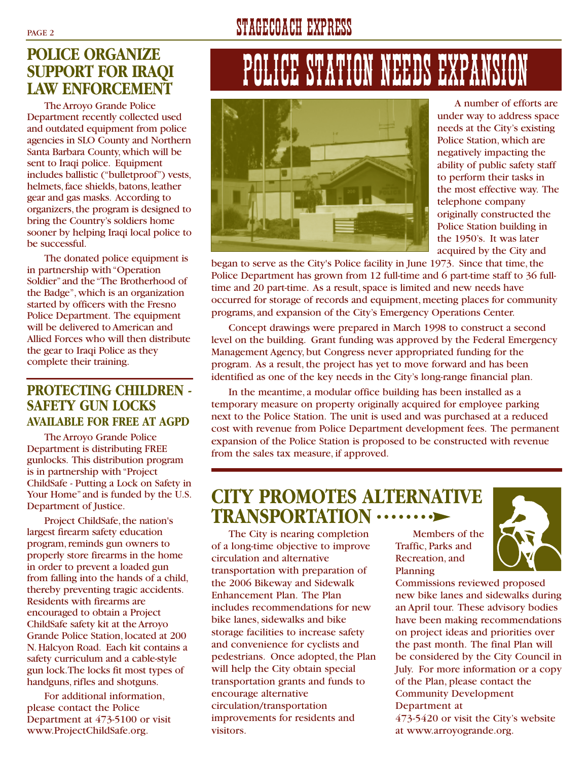## **POLICE ORGANIZE SUPPORT FOR IRAQI LAW ENFORCEMENT**

The Arroyo Grande Police Department recently collected used and outdated equipment from police agencies in SLO County and Northern Santa Barbara County,which will be sent to Iraqi police. Equipment includes ballistic ("bulletproof") vests, helmets, face shields, batons, leather gear and gas masks. According to organizers, the program is designed to bring the Country's soldiers home sooner by helping Iraqi local police to be successful.

The donated police equipment is in partnership with "Operation Soldier"and the "The Brotherhood of the Badge", which is an organization started by officers with the Fresno Police Department. The equipment will be delivered to American and Allied Forces who will then distribute the gear to Iraqi Police as they complete their training.

#### **PROTECTING CHILDREN - SAFETY GUN LOCKS AVAILABLE FOR FREE AT AGPD**

The Arroyo Grande Police Department is distributing FREE gunlocks. This distribution program is in partnership with "Project ChildSafe - Putting a Lock on Safety in Your Home" and is funded by the U.S. Department of Justice.

Project ChildSafe, the nation's largest firearm safety education program, reminds gun owners to properly store firearms in the home in order to prevent a loaded gun from falling into the hands of a child, thereby preventing tragic accidents. Residents with firearms are encouraged to obtain a Project ChildSafe safety kit at the Arroyo Grande Police Station, located at 200 N. Halcyon Road. Each kit contains a safety curriculum and a cable-style gun lock.The locks fit most types of handguns, rifles and shotguns.

For additional information, please contact the Police Department at 473-5100 or visit www.ProjectChildSafe.org.

# PAGE 2 STAGECOACH EXPRESS

# POLICE STATION NEEDS EXPANSI



A number of efforts are under way to address space needs at the City's existing Police Station, which are negatively impacting the ability of public safety staff to perform their tasks in the most effective way. The telephone company originally constructed the Police Station building in the 1950's. It was later acquired by the City and

began to serve as the City's Police facility in June 1973. Since that time, the Police Department has grown from 12 full-time and 6 part-time staff to 36 fulltime and 20 part-time. As a result, space is limited and new needs have occurred for storage of records and equipment, meeting places for community programs, and expansion of the City's Emergency Operations Center.

Concept drawings were prepared in March 1998 to construct a second level on the building. Grant funding was approved by the Federal Emergency Management Agency, but Congress never appropriated funding for the program. As a result, the project has yet to move forward and has been identified as one of the key needs in the City's long-range financial plan.

In the meantime, a modular office building has been installed as a temporary measure on property originally acquired for employee parking next to the Police Station. The unit is used and was purchased at a reduced cost with revenue from Police Department development fees. The permanent expansion of the Police Station is proposed to be constructed with revenue from the sales tax measure, if approved.

## **CITY PROMOTES ALTERNATIVE TRANSPORTATION**

The City is nearing completion of a long-time objective to improve circulation and alternative transportation with preparation of the 2006 Bikeway and Sidewalk Enhancement Plan. The Plan includes recommendations for new bike lanes, sidewalks and bike storage facilities to increase safety and convenience for cyclists and pedestrians. Once adopted, the Plan will help the City obtain special transportation grants and funds to encourage alternative circulation/transportation improvements for residents and visitors.

Members of the Traffic, Parks and Recreation, and Planning



Commissions reviewed proposed new bike lanes and sidewalks during an April tour. These advisory bodies have been making recommendations on project ideas and priorities over the past month. The final Plan will be considered by the City Council in July. For more information or a copy of the Plan, please contact the Community Development Department at 473-5420 or visit the City's website at www.arroyogrande.org.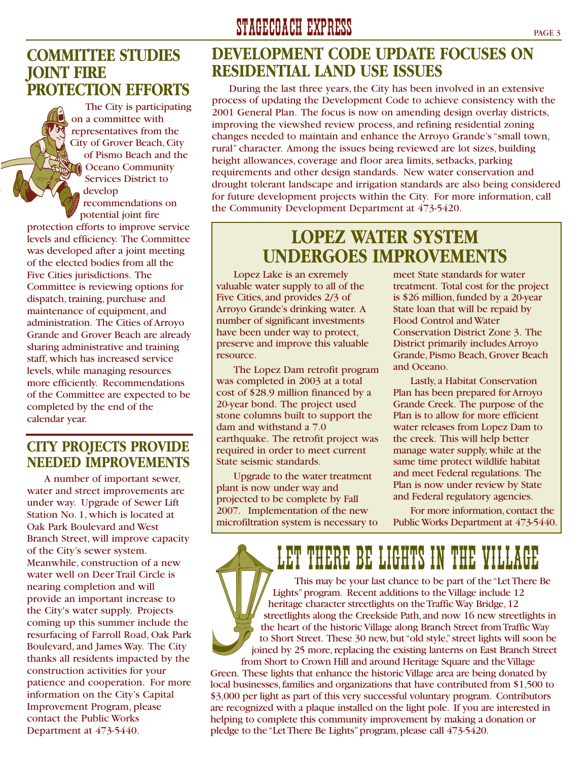### **COMMITTEE STUDIES JOINT FIRE PROTECTION EFFORTS**

The City is participating on a committee with representatives from the City of Grover Beach, City of Pismo Beach and the Oceano Community Services District to develop recommendations on potential joint fire

protection efforts to improve service levels and efficiency. The Committee was developed after a joint meeting of the elected bodies from all the Five Cities jurisdictions. The Committee is reviewing options for dispatch, training, purchase and maintenance of equipment, and administration. The Cities of Arroyo Grande and Grover Beach are already sharing administrative and training staff, which has increased service levels, while managing resources more efficiently. Recommendations of the Committee are expected to be completed by the end of the calendar year.

#### **CITY PROJECTS PROVIDE NEEDED IMPROVEMENTS**

A number of important sewer, water and street improvements are under way. Upgrade of Sewer Lift Station No. 1, which is located at Oak Park Boulevard and West Branch Street, will improve capacity of the City's sewer system. Meanwhile, construction of a new water well on Deer Trail Circle is nearing completion and will provide an important increase to the City's water supply. Projects coming up this summer include the resurfacing of Farroll Road, Oak Park Boulevard, and James Way. The City thanks all residents impacted by the construction activities for your patience and cooperation. For more information on the City's Capital Improvement Program, please contact the Public Works Department at 473-5440.

## **DEVELOPMENT CODE UPDATE FOCUSES ON RESIDENTIAL LAND USE ISSUES**

During the last three years, the City has been involved in an extensive process of updating the Development Code to achieve consistency with the 2001 General Plan. The focus is now on amending design overlay districts, improving the viewshed review process, and refining residential zoning changes needed to maintain and enhance the Arroyo Grande's "small town, rural" character. Among the issues being reviewed are lot sizes, building height allowances, coverage and floor area limits, setbacks, parking requirements and other design standards. New water conservation and drought tolerant landscape and irrigation standards are also being considered for future development projects within the City. For more information, call the Community Development Department at 473-5420.

## **LOPEZ WATER SYSTEM UNDERGOES IMPROVEMENTS**

Lopez Lake is an exremely valuable water supply to all of the Five Cities, and provides 2/3 of Arroyo Grande's drinking water. A number of significant investments have been under way to protect, preserve and improve this valuable resource.

The Lopez Dam retrofit program was completed in 2003 at a total cost of \$28.9 million financed by a 20-year bond. The project used stone columns built to support the dam and withstand a 7.0 earthquake. The retrofit project was required in order to meet current State seismic standards.

Upgrade to the water treatment plant is now under way and projected to be complete by Fall 2007. Implementation of the new microfiltration system is necessary to meet State standards for water treatment. Total cost for the project is \$26 million, funded by a 20-year State loan that will be repaid by Flood Control and Water Conservation District Zone 3. The District primarily includes Arroyo Grande, Pismo Beach, Grover Beach and Oceano.

Lastly, a Habitat Conservation Plan has been prepared for Arroyo Grande Creek. The purpose of the Plan is to allow for more efficient water releases from Lopez Dam to the creek. This will help better manage water supply, while at the same time protect wildlife habitat and meet Federal regulations. The Plan is now under review by State and Federal regulatory agencies.

For more information, contact the Public Works Department at 473-5440.

LET THERE BE LIGHTS IN THE VII This may be your last chance to be part of the "Let There Be Lights"program. Recent additions to the Village include 12 heritage character streetlights on the Traffic Way Bridge,12 streetlights along the Creekside Path, and now 16 new streetlights in the heart of the historic Village along Branch Street from Traffic Way to Short Street. These 30 new, but "old style," street lights will soon be joined by 25 more, replacing the existing lanterns on East Branch Street

from Short to Crown Hill and around Heritage Square and the Village Green. These lights that enhance the historic Village area are being donated by local businesses, families and organizations that have contributed from \$1,500 to \$3,000 per light as part of this very successful voluntary program. Contributors are recognized with a plaque installed on the light pole. If you are interested in helping to complete this community improvement by making a donation or pledge to the "Let There Be Lights" program, please call 473-5420.